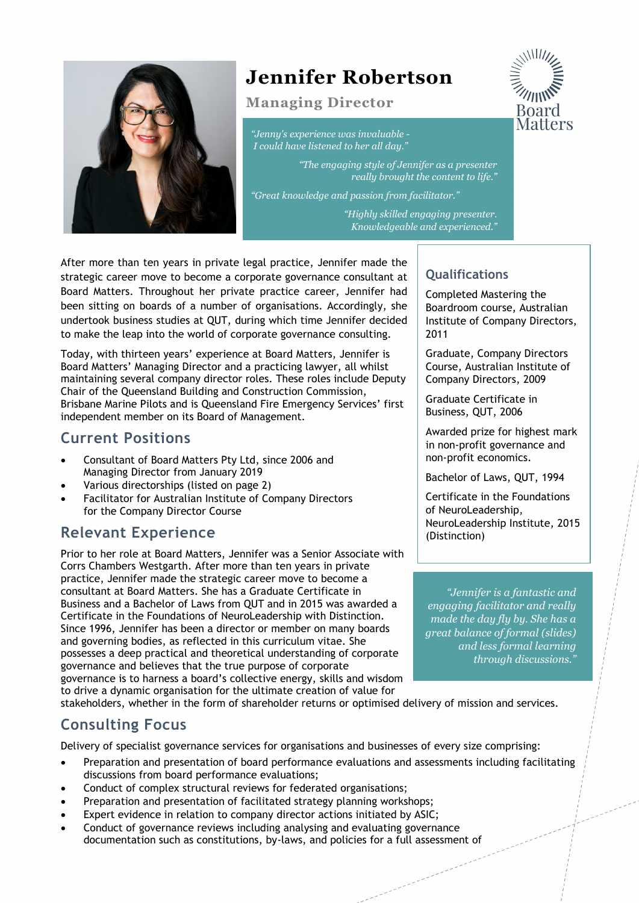

# **Jennifer Robertson**

#### **Managing Director**

*"Jenny's experience was invaluable - I could have listened to her all day."*

> *"The engaging style of Jennifer as a presenter really brought the content to life."*

*"Great knowledge and passion from facilitator."*

*"Highly skilled engaging presenter. Knowledgeable and experienced."* 

After more than ten years in private legal practice, Jennifer made the strategic career move to become a corporate governance consultant at Board Matters. Throughout her private practice career, Jennifer had been sitting on boards of a number of organisations. Accordingly, she undertook business studies at QUT, during which time Jennifer decided to make the leap into the world of corporate governance consulting.

Today, with thirteen years' experience at Board Matters, Jennifer is Board Matters' Managing Director and a practicing lawyer, all whilst maintaining several company director roles. These roles include Deputy Chair of the Queensland Building and Construction Commission, Brisbane Marine Pilots and is Queensland Fire Emergency Services' first independent member on its Board of Management.

## **Current Positions**

- Consultant of Board Matters Pty Ltd, since 2006 and Managing Director from January 2019
- Various directorships (listed on page 2)
- Facilitator for Australian Institute of Company Directors for the Company Director Course

# **Relevant Experience**

Prior to her role at Board Matters, Jennifer was a Senior Associate with Corrs Chambers Westgarth. After more than ten years in private practice, Jennifer made the strategic career move to become a consultant at Board Matters. She has a Graduate Certificate in Business and a Bachelor of Laws from QUT and in 2015 was awarded a Certificate in the Foundations of NeuroLeadership with Distinction. Since 1996, Jennifer has been a director or member on many boards and governing bodies, as reflected in this curriculum vitae. She possesses a deep practical and theoretical understanding of corporate governance and believes that the true purpose of corporate governance is to harness a board's collective energy, skills and wisdom to drive a dynamic organisation for the ultimate creation of value for

stakeholders, whether in the form of shareholder returns or optimised delivery of mission and services.

# **Consulting Focus**

Delivery of specialist governance services for organisations and businesses of every size comprising:

- Preparation and presentation of board performance evaluations and assessments including facilitating discussions from board performance evaluations;
- Conduct of complex structural reviews for federated organisations;
- Preparation and presentation of facilitated strategy planning workshops;
- Expert evidence in relation to company director actions initiated by ASIC;
- Conduct of governance reviews including analysing and evaluating governance documentation such as constitutions, by-laws, and policies for a full assessment of

#### **Qualifications**

Completed Mastering the Boardroom course, Australian Institute of Company Directors, 2011

Graduate, Company Directors Course, Australian Institute of Company Directors, 2009

Graduate Certificate in Business, QUT, 2006

Awarded prize for highest mark in non-profit governance and non-profit economics.

Bachelor of Laws, QUT, 1994

Certificate in the Foundations of NeuroLeadership, NeuroLeadership Institute, 2015 (Distinction)

*"Jennifer is a fantastic and engaging facilitator and really made the day fly by. She has a great balance of formal (slides) and less formal learning through discussions."*